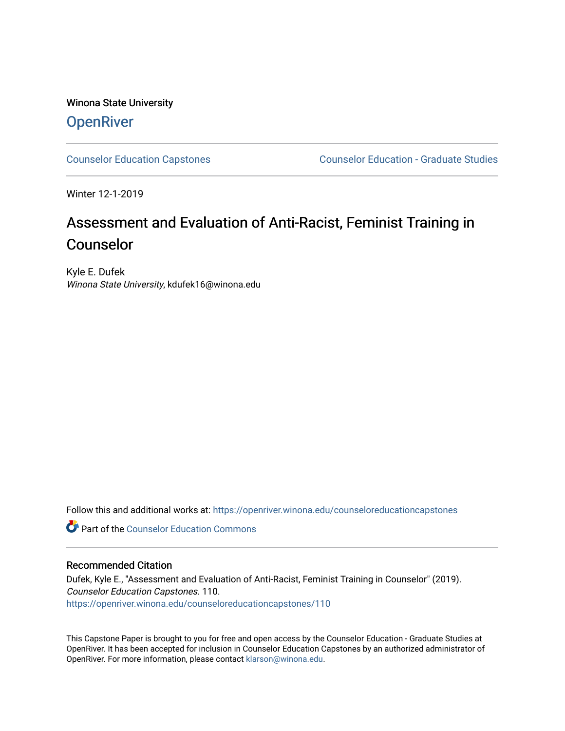## Winona State University **OpenRiver**

[Counselor Education Capstones](https://openriver.winona.edu/counseloreducationcapstones) [Counselor Education - Graduate Studies](https://openriver.winona.edu/counseloreducation) 

Winter 12-1-2019

# Assessment and Evaluation of Anti-Racist, Feminist Training in Counselor

Kyle E. Dufek Winona State University, kdufek16@winona.edu

Follow this and additional works at: [https://openriver.winona.edu/counseloreducationcapstones](https://openriver.winona.edu/counseloreducationcapstones?utm_source=openriver.winona.edu%2Fcounseloreducationcapstones%2F110&utm_medium=PDF&utm_campaign=PDFCoverPages)

**C** Part of the Counselor Education Commons

## Recommended Citation

Dufek, Kyle E., "Assessment and Evaluation of Anti-Racist, Feminist Training in Counselor" (2019). Counselor Education Capstones. 110. [https://openriver.winona.edu/counseloreducationcapstones/110](https://openriver.winona.edu/counseloreducationcapstones/110?utm_source=openriver.winona.edu%2Fcounseloreducationcapstones%2F110&utm_medium=PDF&utm_campaign=PDFCoverPages)

This Capstone Paper is brought to you for free and open access by the Counselor Education - Graduate Studies at OpenRiver. It has been accepted for inclusion in Counselor Education Capstones by an authorized administrator of OpenRiver. For more information, please contact [klarson@winona.edu](mailto:klarson@winona.edu).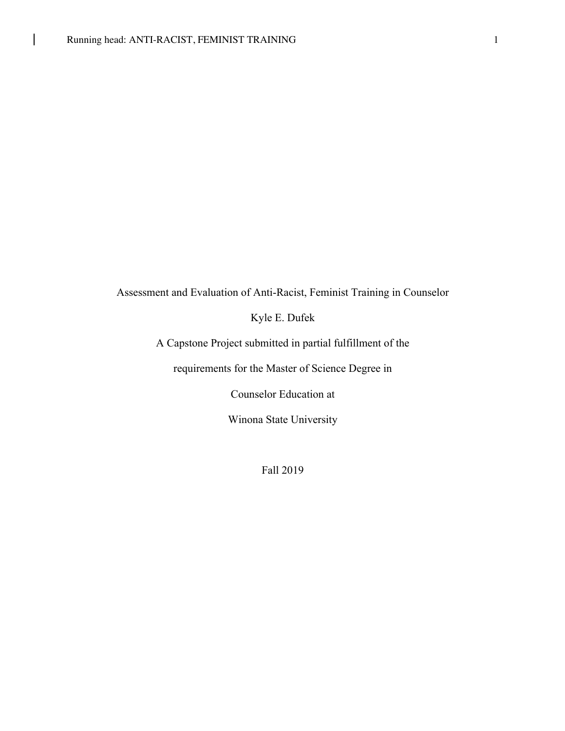$\mathsf{I}$ 

## Assessment and Evaluation of Anti-Racist, Feminist Training in Counselor

Kyle E. Dufek

A Capstone Project submitted in partial fulfillment of the

requirements for the Master of Science Degree in

Counselor Education at

Winona State University

Fall 2019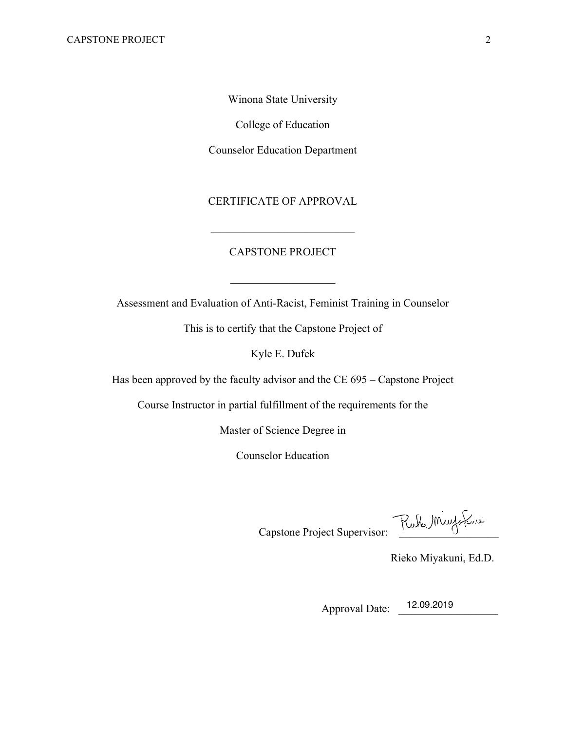Winona State University

College of Education

Counselor Education Department

CERTIFICATE OF APPROVAL

## CAPSTONE PROJECT

Assessment and Evaluation of Anti-Racist, Feminist Training in Counselor

This is to certify that the Capstone Project of

Kyle E. Dufek

Has been approved by the faculty advisor and the CE 695 – Capstone Project

Course Instructor in partial fulfillment of the requirements for the

Master of Science Degree in

Counselor Education

Capstone Project Supervisor:

Rieko Miyakuni, Ed.D.

Approval Date: <sup>12.09.2019</sup>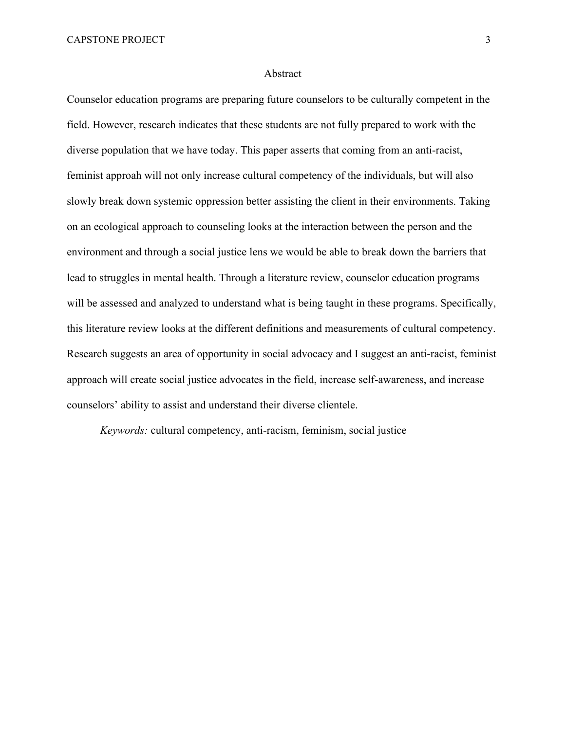#### Abstract

Counselor education programs are preparing future counselors to be culturally competent in the field. However, research indicates that these students are not fully prepared to work with the diverse population that we have today. This paper asserts that coming from an anti-racist, feminist approah will not only increase cultural competency of the individuals, but will also slowly break down systemic oppression better assisting the client in their environments. Taking on an ecological approach to counseling looks at the interaction between the person and the environment and through a social justice lens we would be able to break down the barriers that lead to struggles in mental health. Through a literature review, counselor education programs will be assessed and analyzed to understand what is being taught in these programs. Specifically, this literature review looks at the different definitions and measurements of cultural competency. Research suggests an area of opportunity in social advocacy and I suggest an anti-racist, feminist approach will create social justice advocates in the field, increase self-awareness, and increase counselors' ability to assist and understand their diverse clientele.

*Keywords:* cultural competency, anti-racism, feminism, social justice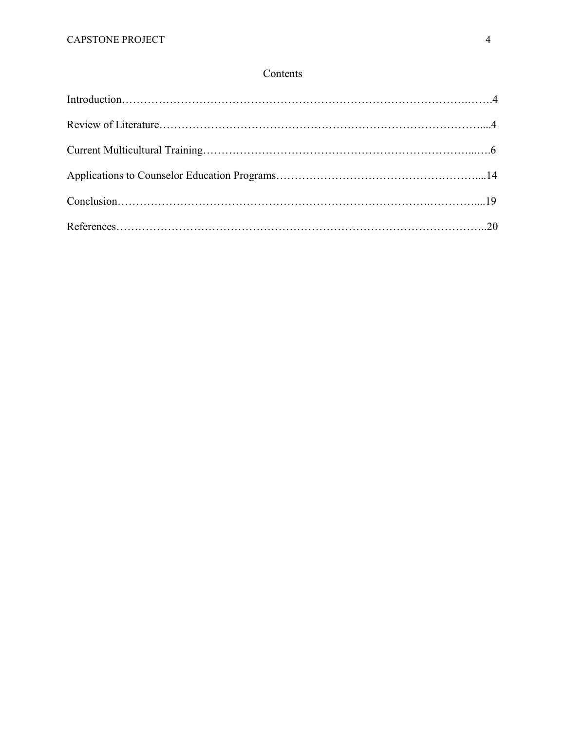## Contents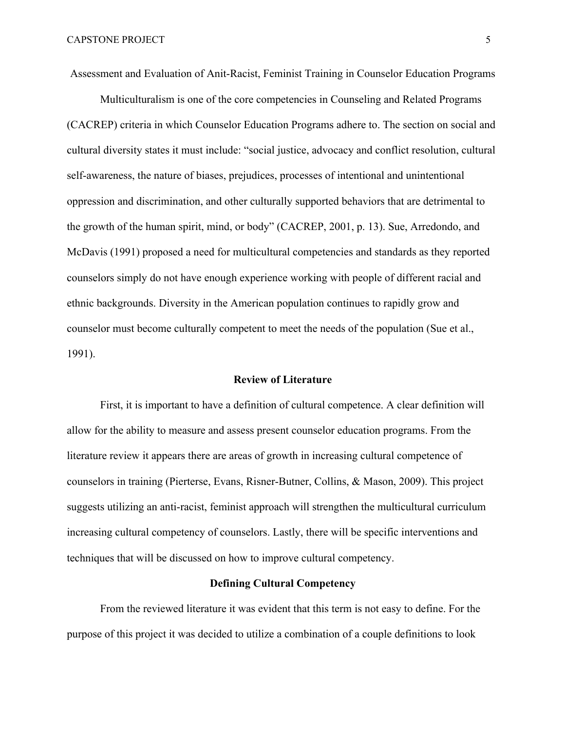Assessment and Evaluation of Anit-Racist, Feminist Training in Counselor Education Programs

Multiculturalism is one of the core competencies in Counseling and Related Programs (CACREP) criteria in which Counselor Education Programs adhere to. The section on social and cultural diversity states it must include: "social justice, advocacy and conflict resolution, cultural self-awareness, the nature of biases, prejudices, processes of intentional and unintentional oppression and discrimination, and other culturally supported behaviors that are detrimental to the growth of the human spirit, mind, or body" (CACREP, 2001, p. 13). Sue, Arredondo, and McDavis (1991) proposed a need for multicultural competencies and standards as they reported counselors simply do not have enough experience working with people of different racial and ethnic backgrounds. Diversity in the American population continues to rapidly grow and counselor must become culturally competent to meet the needs of the population (Sue et al., 1991).

#### **Review of Literature**

First, it is important to have a definition of cultural competence. A clear definition will allow for the ability to measure and assess present counselor education programs. From the literature review it appears there are areas of growth in increasing cultural competence of counselors in training (Pierterse, Evans, Risner-Butner, Collins, & Mason, 2009). This project suggests utilizing an anti-racist, feminist approach will strengthen the multicultural curriculum increasing cultural competency of counselors. Lastly, there will be specific interventions and techniques that will be discussed on how to improve cultural competency.

## **Defining Cultural Competency**

From the reviewed literature it was evident that this term is not easy to define. For the purpose of this project it was decided to utilize a combination of a couple definitions to look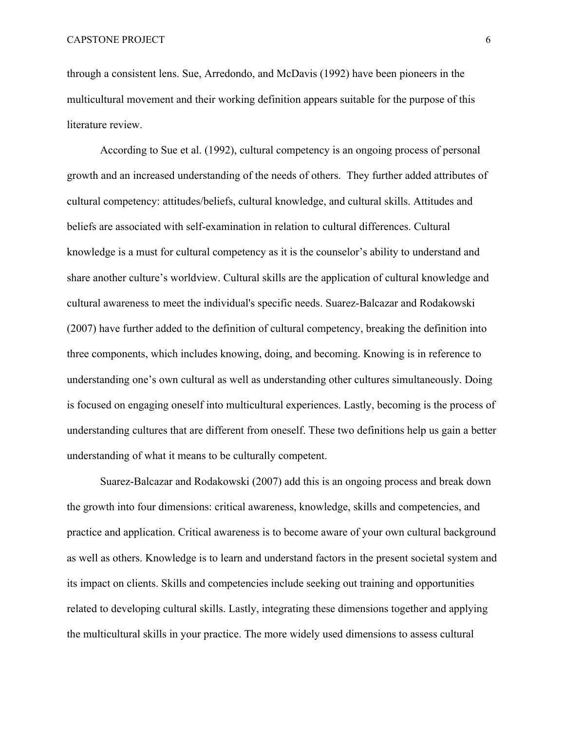through a consistent lens. Sue, Arredondo, and McDavis (1992) have been pioneers in the multicultural movement and their working definition appears suitable for the purpose of this literature review.

According to Sue et al. (1992), cultural competency is an ongoing process of personal growth and an increased understanding of the needs of others. They further added attributes of cultural competency: attitudes/beliefs, cultural knowledge, and cultural skills. Attitudes and beliefs are associated with self-examination in relation to cultural differences. Cultural knowledge is a must for cultural competency as it is the counselor's ability to understand and share another culture's worldview. Cultural skills are the application of cultural knowledge and cultural awareness to meet the individual's specific needs. Suarez-Balcazar and Rodakowski (2007) have further added to the definition of cultural competency, breaking the definition into three components, which includes knowing, doing, and becoming. Knowing is in reference to understanding one's own cultural as well as understanding other cultures simultaneously. Doing is focused on engaging oneself into multicultural experiences. Lastly, becoming is the process of understanding cultures that are different from oneself. These two definitions help us gain a better understanding of what it means to be culturally competent.

Suarez-Balcazar and Rodakowski (2007) add this is an ongoing process and break down the growth into four dimensions: critical awareness, knowledge, skills and competencies, and practice and application. Critical awareness is to become aware of your own cultural background as well as others. Knowledge is to learn and understand factors in the present societal system and its impact on clients. Skills and competencies include seeking out training and opportunities related to developing cultural skills. Lastly, integrating these dimensions together and applying the multicultural skills in your practice. The more widely used dimensions to assess cultural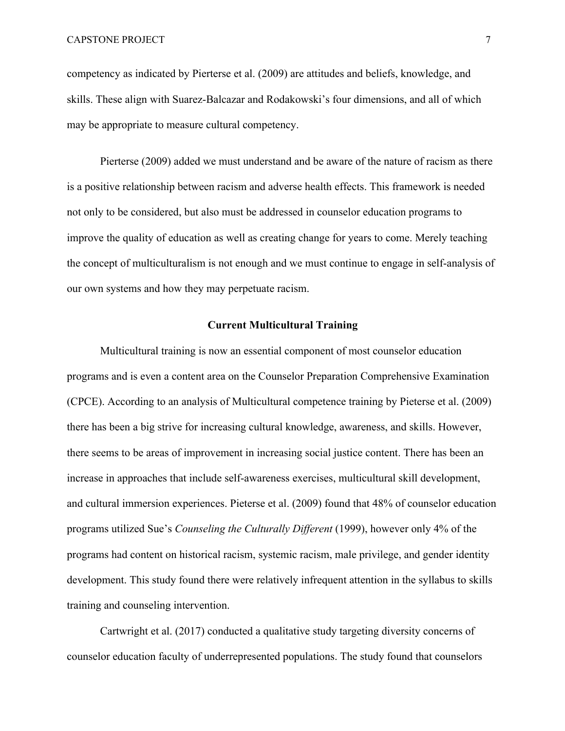competency as indicated by Pierterse et al. (2009) are attitudes and beliefs, knowledge, and skills. These align with Suarez-Balcazar and Rodakowski's four dimensions, and all of which may be appropriate to measure cultural competency.

Pierterse (2009) added we must understand and be aware of the nature of racism as there is a positive relationship between racism and adverse health effects. This framework is needed not only to be considered, but also must be addressed in counselor education programs to improve the quality of education as well as creating change for years to come. Merely teaching the concept of multiculturalism is not enough and we must continue to engage in self-analysis of our own systems and how they may perpetuate racism.

## **Current Multicultural Training**

Multicultural training is now an essential component of most counselor education programs and is even a content area on the Counselor Preparation Comprehensive Examination (CPCE). According to an analysis of Multicultural competence training by Pieterse et al. (2009) there has been a big strive for increasing cultural knowledge, awareness, and skills. However, there seems to be areas of improvement in increasing social justice content. There has been an increase in approaches that include self-awareness exercises, multicultural skill development, and cultural immersion experiences. Pieterse et al. (2009) found that 48% of counselor education programs utilized Sue's *Counseling the Culturally Different* (1999), however only 4% of the programs had content on historical racism, systemic racism, male privilege, and gender identity development. This study found there were relatively infrequent attention in the syllabus to skills training and counseling intervention.

Cartwright et al. (2017) conducted a qualitative study targeting diversity concerns of counselor education faculty of underrepresented populations. The study found that counselors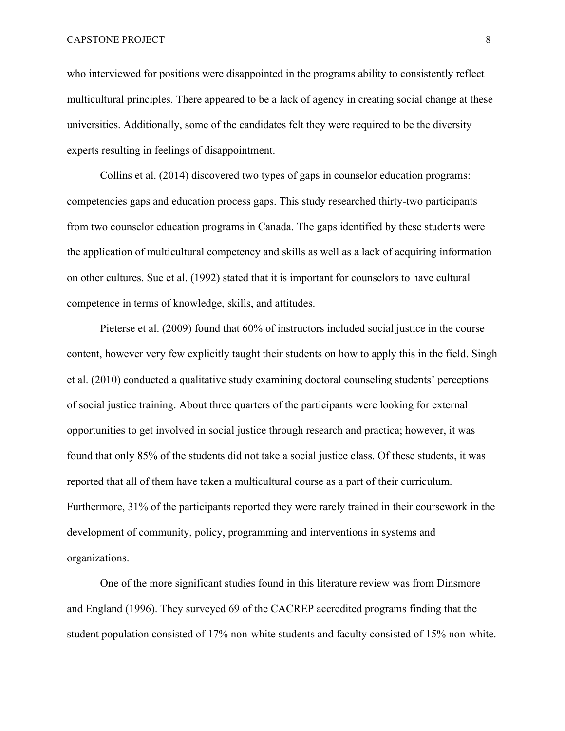who interviewed for positions were disappointed in the programs ability to consistently reflect multicultural principles. There appeared to be a lack of agency in creating social change at these universities. Additionally, some of the candidates felt they were required to be the diversity experts resulting in feelings of disappointment.

Collins et al. (2014) discovered two types of gaps in counselor education programs: competencies gaps and education process gaps. This study researched thirty-two participants from two counselor education programs in Canada. The gaps identified by these students were the application of multicultural competency and skills as well as a lack of acquiring information on other cultures. Sue et al. (1992) stated that it is important for counselors to have cultural competence in terms of knowledge, skills, and attitudes.

Pieterse et al. (2009) found that 60% of instructors included social justice in the course content, however very few explicitly taught their students on how to apply this in the field. Singh et al. (2010) conducted a qualitative study examining doctoral counseling students' perceptions of social justice training. About three quarters of the participants were looking for external opportunities to get involved in social justice through research and practica; however, it was found that only 85% of the students did not take a social justice class. Of these students, it was reported that all of them have taken a multicultural course as a part of their curriculum. Furthermore, 31% of the participants reported they were rarely trained in their coursework in the development of community, policy, programming and interventions in systems and organizations.

One of the more significant studies found in this literature review was from Dinsmore and England (1996). They surveyed 69 of the CACREP accredited programs finding that the student population consisted of 17% non-white students and faculty consisted of 15% non-white.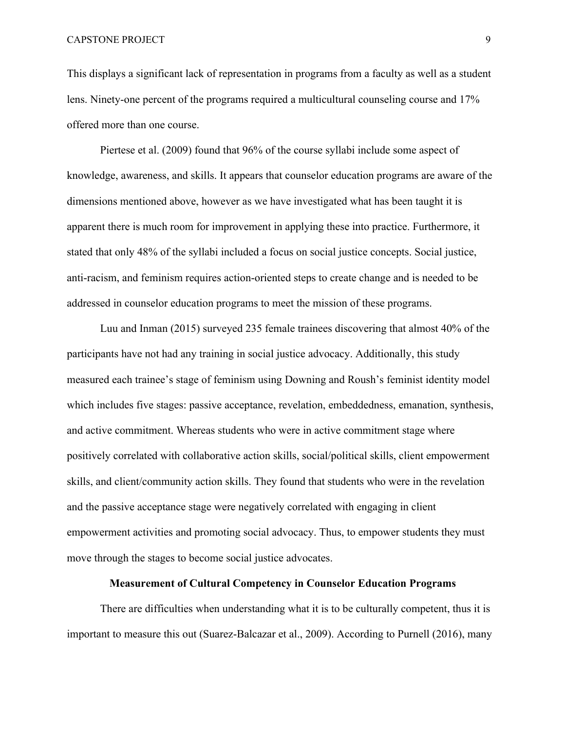This displays a significant lack of representation in programs from a faculty as well as a student lens. Ninety-one percent of the programs required a multicultural counseling course and 17% offered more than one course.

Piertese et al. (2009) found that 96% of the course syllabi include some aspect of knowledge, awareness, and skills. It appears that counselor education programs are aware of the dimensions mentioned above, however as we have investigated what has been taught it is apparent there is much room for improvement in applying these into practice. Furthermore, it stated that only 48% of the syllabi included a focus on social justice concepts. Social justice, anti-racism, and feminism requires action-oriented steps to create change and is needed to be addressed in counselor education programs to meet the mission of these programs.

Luu and Inman (2015) surveyed 235 female trainees discovering that almost 40% of the participants have not had any training in social justice advocacy. Additionally, this study measured each trainee's stage of feminism using Downing and Roush's feminist identity model which includes five stages: passive acceptance, revelation, embeddedness, emanation, synthesis, and active commitment. Whereas students who were in active commitment stage where positively correlated with collaborative action skills, social/political skills, client empowerment skills, and client/community action skills. They found that students who were in the revelation and the passive acceptance stage were negatively correlated with engaging in client empowerment activities and promoting social advocacy. Thus, to empower students they must move through the stages to become social justice advocates.

## **Measurement of Cultural Competency in Counselor Education Programs**

There are difficulties when understanding what it is to be culturally competent, thus it is important to measure this out (Suarez-Balcazar et al., 2009). According to Purnell (2016), many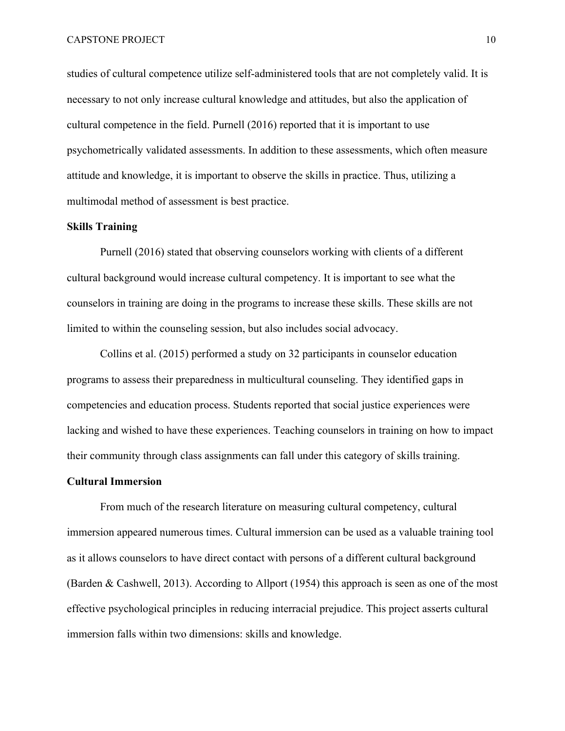studies of cultural competence utilize self-administered tools that are not completely valid. It is necessary to not only increase cultural knowledge and attitudes, but also the application of cultural competence in the field. Purnell (2016) reported that it is important to use psychometrically validated assessments. In addition to these assessments, which often measure attitude and knowledge, it is important to observe the skills in practice. Thus, utilizing a multimodal method of assessment is best practice.

### **Skills Training**

Purnell (2016) stated that observing counselors working with clients of a different cultural background would increase cultural competency. It is important to see what the counselors in training are doing in the programs to increase these skills. These skills are not limited to within the counseling session, but also includes social advocacy.

Collins et al. (2015) performed a study on 32 participants in counselor education programs to assess their preparedness in multicultural counseling. They identified gaps in competencies and education process. Students reported that social justice experiences were lacking and wished to have these experiences. Teaching counselors in training on how to impact their community through class assignments can fall under this category of skills training.

## **Cultural Immersion**

From much of the research literature on measuring cultural competency, cultural immersion appeared numerous times. Cultural immersion can be used as a valuable training tool as it allows counselors to have direct contact with persons of a different cultural background (Barden & Cashwell, 2013). According to Allport (1954) this approach is seen as one of the most effective psychological principles in reducing interracial prejudice. This project asserts cultural immersion falls within two dimensions: skills and knowledge.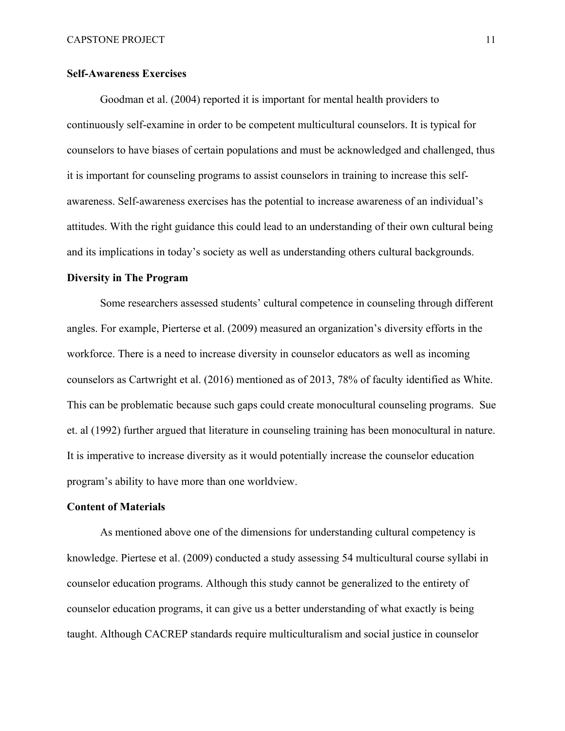## **Self-Awareness Exercises**

Goodman et al. (2004) reported it is important for mental health providers to continuously self-examine in order to be competent multicultural counselors. It is typical for counselors to have biases of certain populations and must be acknowledged and challenged, thus it is important for counseling programs to assist counselors in training to increase this selfawareness. Self-awareness exercises has the potential to increase awareness of an individual's attitudes. With the right guidance this could lead to an understanding of their own cultural being and its implications in today's society as well as understanding others cultural backgrounds.

## **Diversity in The Program**

Some researchers assessed students' cultural competence in counseling through different angles. For example, Pierterse et al. (2009) measured an organization's diversity efforts in the workforce. There is a need to increase diversity in counselor educators as well as incoming counselors as Cartwright et al. (2016) mentioned as of 2013, 78% of faculty identified as White. This can be problematic because such gaps could create monocultural counseling programs. Sue et. al (1992) further argued that literature in counseling training has been monocultural in nature. It is imperative to increase diversity as it would potentially increase the counselor education program's ability to have more than one worldview.

## **Content of Materials**

As mentioned above one of the dimensions for understanding cultural competency is knowledge. Piertese et al. (2009) conducted a study assessing 54 multicultural course syllabi in counselor education programs. Although this study cannot be generalized to the entirety of counselor education programs, it can give us a better understanding of what exactly is being taught. Although CACREP standards require multiculturalism and social justice in counselor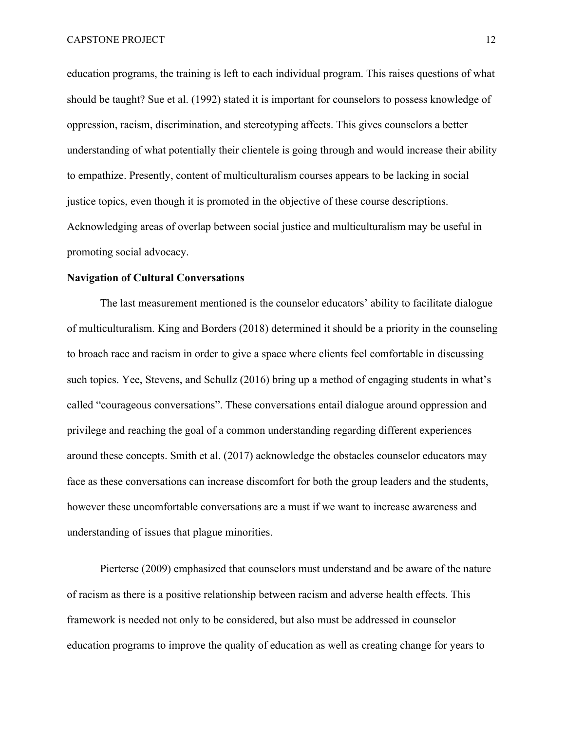education programs, the training is left to each individual program. This raises questions of what should be taught? Sue et al. (1992) stated it is important for counselors to possess knowledge of oppression, racism, discrimination, and stereotyping affects. This gives counselors a better understanding of what potentially their clientele is going through and would increase their ability to empathize. Presently, content of multiculturalism courses appears to be lacking in social justice topics, even though it is promoted in the objective of these course descriptions. Acknowledging areas of overlap between social justice and multiculturalism may be useful in promoting social advocacy.

#### **Navigation of Cultural Conversations**

The last measurement mentioned is the counselor educators' ability to facilitate dialogue of multiculturalism. King and Borders (2018) determined it should be a priority in the counseling to broach race and racism in order to give a space where clients feel comfortable in discussing such topics. Yee, Stevens, and Schullz (2016) bring up a method of engaging students in what's called "courageous conversations". These conversations entail dialogue around oppression and privilege and reaching the goal of a common understanding regarding different experiences around these concepts. Smith et al. (2017) acknowledge the obstacles counselor educators may face as these conversations can increase discomfort for both the group leaders and the students, however these uncomfortable conversations are a must if we want to increase awareness and understanding of issues that plague minorities.

Pierterse (2009) emphasized that counselors must understand and be aware of the nature of racism as there is a positive relationship between racism and adverse health effects. This framework is needed not only to be considered, but also must be addressed in counselor education programs to improve the quality of education as well as creating change for years to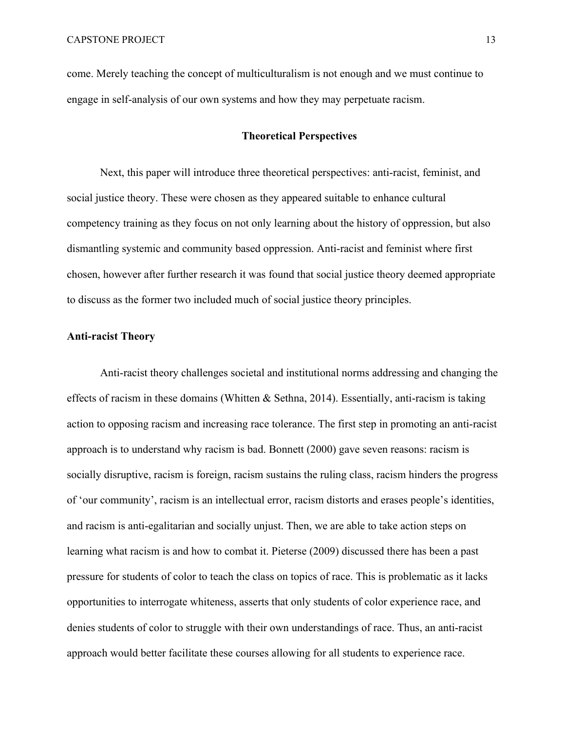come. Merely teaching the concept of multiculturalism is not enough and we must continue to engage in self-analysis of our own systems and how they may perpetuate racism.

## **Theoretical Perspectives**

Next, this paper will introduce three theoretical perspectives: anti-racist, feminist, and social justice theory. These were chosen as they appeared suitable to enhance cultural competency training as they focus on not only learning about the history of oppression, but also dismantling systemic and community based oppression. Anti-racist and feminist where first chosen, however after further research it was found that social justice theory deemed appropriate to discuss as the former two included much of social justice theory principles.

## **Anti-racist Theory**

Anti-racist theory challenges societal and institutional norms addressing and changing the effects of racism in these domains (Whitten & Sethna, 2014). Essentially, anti-racism is taking action to opposing racism and increasing race tolerance. The first step in promoting an anti-racist approach is to understand why racism is bad. Bonnett (2000) gave seven reasons: racism is socially disruptive, racism is foreign, racism sustains the ruling class, racism hinders the progress of 'our community', racism is an intellectual error, racism distorts and erases people's identities, and racism is anti-egalitarian and socially unjust. Then, we are able to take action steps on learning what racism is and how to combat it. Pieterse (2009) discussed there has been a past pressure for students of color to teach the class on topics of race. This is problematic as it lacks opportunities to interrogate whiteness, asserts that only students of color experience race, and denies students of color to struggle with their own understandings of race. Thus, an anti-racist approach would better facilitate these courses allowing for all students to experience race.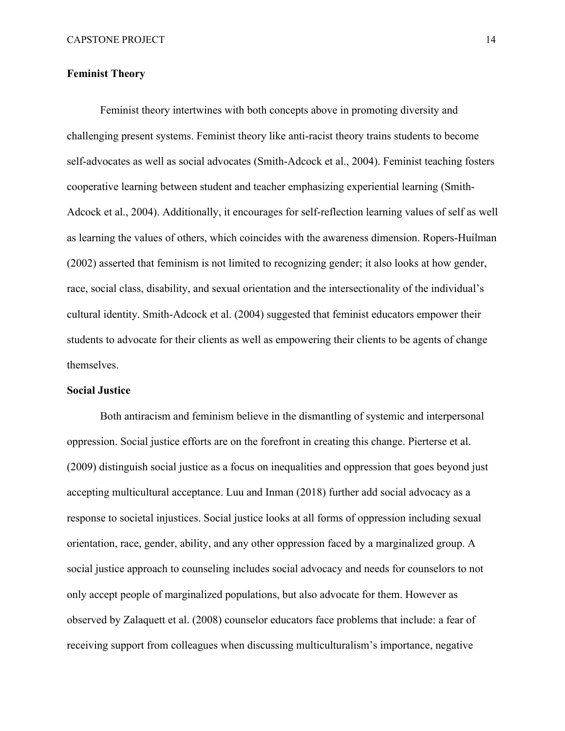## **Feminist Theory**

Feminist theory intertwines with both concepts above in promoting diversity and challenging present systems. Feminist theory like anti-racist theory trains students to become self-advocates as well as social advocates (Smith-Adcock et al., 2004). Feminist teaching fosters cooperative learning between student and teacher emphasizing experiential learning (Smith-Adcock et al., 2004). Additionally, it encourages for self-reflection learning values of self as well as learning the values of others, which coincides with the awareness dimension. Ropers-Huilman (2002) asserted that feminism is not limited to recognizing gender; it also looks at how gender, race, social class, disability, and sexual orientation and the intersectionality of the individual's cultural identity. Smith-Adcock et al. (2004) suggested that feminist educators empower their students to advocate for their clients as well as empowering their clients to be agents of change themselves.

#### **Social Justice**

Both antiracism and feminism believe in the dismantling of systemic and interpersonal oppression. Social justice efforts are on the forefront in creating this change. Pierterse et al. (2009) distinguish social justice as a focus on inequalities and oppression that goes beyond just accepting multicultural acceptance. Luu and Inman (2018) further add social advocacy as a response to societal injustices. Social justice looks at all forms of oppression including sexual orientation, race, gender, ability, and any other oppression faced by a marginalized group. A social justice approach to counseling includes social advocacy and needs for counselors to not only accept people of marginalized populations, but also advocate for them. However as observed by Zalaquett et al. (2008) counselor educators face problems that include: a fear of receiving support from colleagues when discussing multiculturalism's importance, negative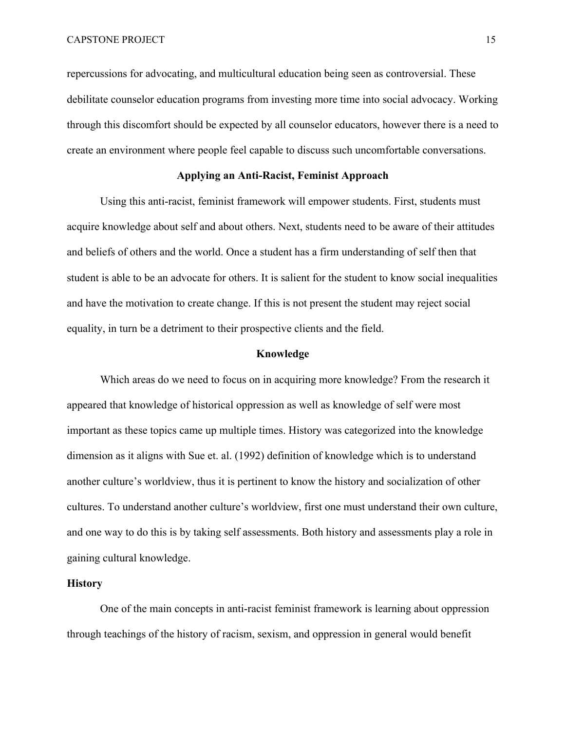repercussions for advocating, and multicultural education being seen as controversial. These debilitate counselor education programs from investing more time into social advocacy. Working through this discomfort should be expected by all counselor educators, however there is a need to create an environment where people feel capable to discuss such uncomfortable conversations.

## **Applying an Anti-Racist, Feminist Approach**

Using this anti-racist, feminist framework will empower students. First, students must acquire knowledge about self and about others. Next, students need to be aware of their attitudes and beliefs of others and the world. Once a student has a firm understanding of self then that student is able to be an advocate for others. It is salient for the student to know social inequalities and have the motivation to create change. If this is not present the student may reject social equality, in turn be a detriment to their prospective clients and the field.

## **Knowledge**

Which areas do we need to focus on in acquiring more knowledge? From the research it appeared that knowledge of historical oppression as well as knowledge of self were most important as these topics came up multiple times. History was categorized into the knowledge dimension as it aligns with Sue et. al. (1992) definition of knowledge which is to understand another culture's worldview, thus it is pertinent to know the history and socialization of other cultures. To understand another culture's worldview, first one must understand their own culture, and one way to do this is by taking self assessments. Both history and assessments play a role in gaining cultural knowledge.

## **History**

One of the main concepts in anti-racist feminist framework is learning about oppression through teachings of the history of racism, sexism, and oppression in general would benefit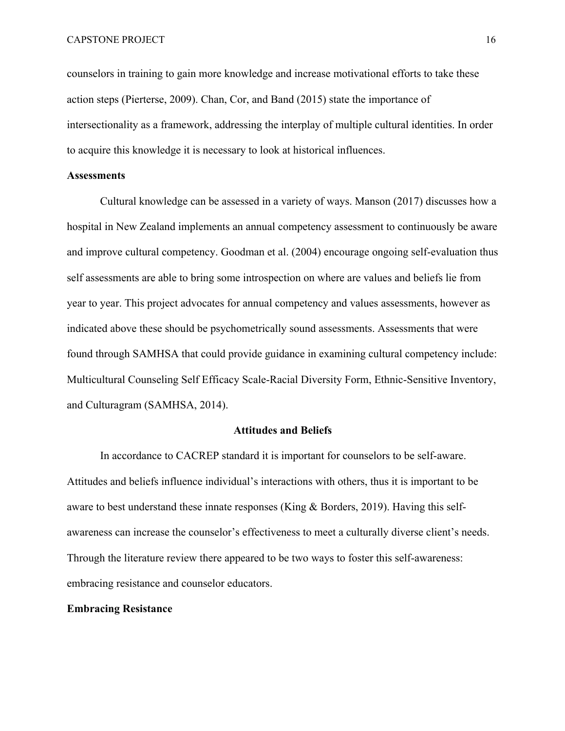counselors in training to gain more knowledge and increase motivational efforts to take these action steps (Pierterse, 2009). Chan, Cor, and Band (2015) state the importance of intersectionality as a framework, addressing the interplay of multiple cultural identities. In order to acquire this knowledge it is necessary to look at historical influences.

## **Assessments**

Cultural knowledge can be assessed in a variety of ways. Manson (2017) discusses how a hospital in New Zealand implements an annual competency assessment to continuously be aware and improve cultural competency. Goodman et al. (2004) encourage ongoing self-evaluation thus self assessments are able to bring some introspection on where are values and beliefs lie from year to year. This project advocates for annual competency and values assessments, however as indicated above these should be psychometrically sound assessments. Assessments that were found through SAMHSA that could provide guidance in examining cultural competency include: Multicultural Counseling Self Efficacy Scale-Racial Diversity Form, Ethnic-Sensitive Inventory, and Culturagram (SAMHSA, 2014).

## **Attitudes and Beliefs**

In accordance to CACREP standard it is important for counselors to be self-aware. Attitudes and beliefs influence individual's interactions with others, thus it is important to be aware to best understand these innate responses (King & Borders, 2019). Having this selfawareness can increase the counselor's effectiveness to meet a culturally diverse client's needs. Through the literature review there appeared to be two ways to foster this self-awareness: embracing resistance and counselor educators.

## **Embracing Resistance**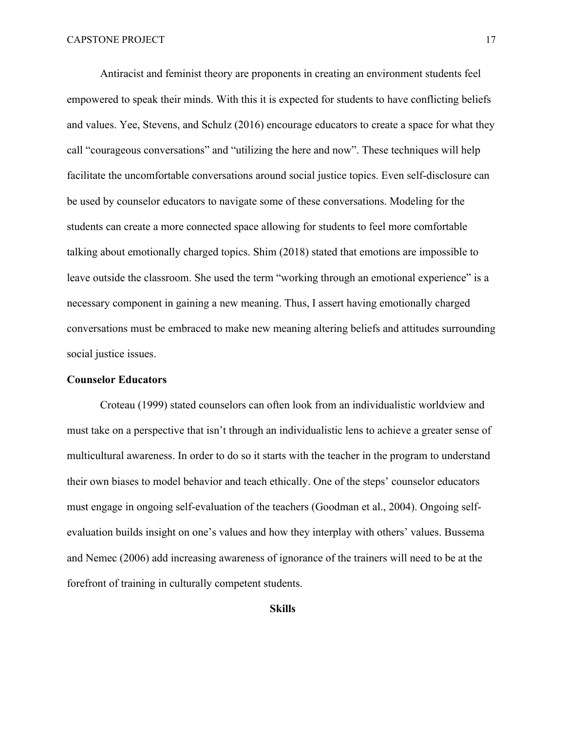Antiracist and feminist theory are proponents in creating an environment students feel empowered to speak their minds. With this it is expected for students to have conflicting beliefs and values. Yee, Stevens, and Schulz (2016) encourage educators to create a space for what they call "courageous conversations" and "utilizing the here and now". These techniques will help facilitate the uncomfortable conversations around social justice topics. Even self-disclosure can be used by counselor educators to navigate some of these conversations. Modeling for the students can create a more connected space allowing for students to feel more comfortable talking about emotionally charged topics. Shim (2018) stated that emotions are impossible to leave outside the classroom. She used the term "working through an emotional experience" is a necessary component in gaining a new meaning. Thus, I assert having emotionally charged conversations must be embraced to make new meaning altering beliefs and attitudes surrounding social justice issues.

## **Counselor Educators**

Croteau (1999) stated counselors can often look from an individualistic worldview and must take on a perspective that isn't through an individualistic lens to achieve a greater sense of multicultural awareness. In order to do so it starts with the teacher in the program to understand their own biases to model behavior and teach ethically. One of the steps' counselor educators must engage in ongoing self-evaluation of the teachers (Goodman et al., 2004). Ongoing selfevaluation builds insight on one's values and how they interplay with others' values. Bussema and Nemec (2006) add increasing awareness of ignorance of the trainers will need to be at the forefront of training in culturally competent students.

**Skills**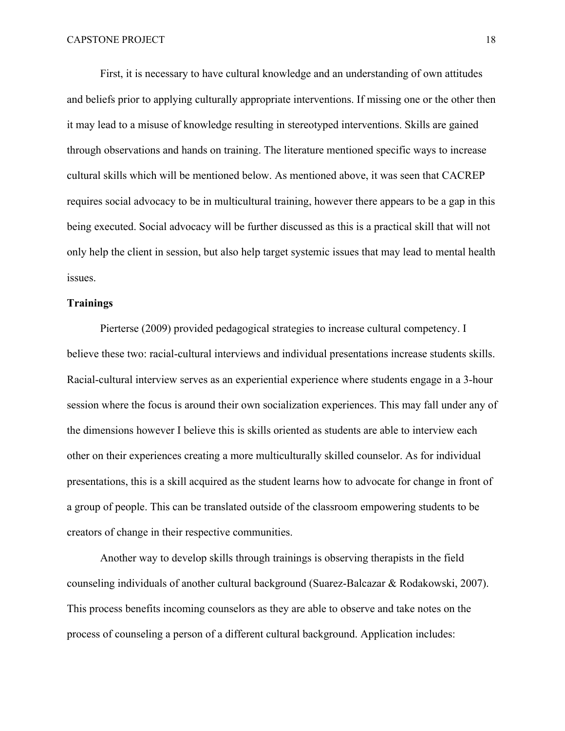First, it is necessary to have cultural knowledge and an understanding of own attitudes and beliefs prior to applying culturally appropriate interventions. If missing one or the other then it may lead to a misuse of knowledge resulting in stereotyped interventions. Skills are gained through observations and hands on training. The literature mentioned specific ways to increase cultural skills which will be mentioned below. As mentioned above, it was seen that CACREP requires social advocacy to be in multicultural training, however there appears to be a gap in this being executed. Social advocacy will be further discussed as this is a practical skill that will not only help the client in session, but also help target systemic issues that may lead to mental health issues.

## **Trainings**

Pierterse (2009) provided pedagogical strategies to increase cultural competency. I believe these two: racial-cultural interviews and individual presentations increase students skills. Racial-cultural interview serves as an experiential experience where students engage in a 3-hour session where the focus is around their own socialization experiences. This may fall under any of the dimensions however I believe this is skills oriented as students are able to interview each other on their experiences creating a more multiculturally skilled counselor. As for individual presentations, this is a skill acquired as the student learns how to advocate for change in front of a group of people. This can be translated outside of the classroom empowering students to be creators of change in their respective communities.

Another way to develop skills through trainings is observing therapists in the field counseling individuals of another cultural background (Suarez-Balcazar & Rodakowski, 2007). This process benefits incoming counselors as they are able to observe and take notes on the process of counseling a person of a different cultural background. Application includes: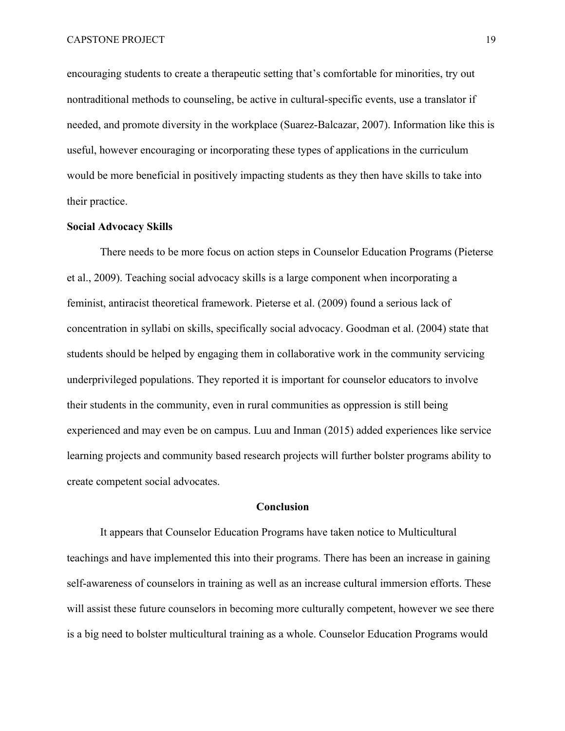encouraging students to create a therapeutic setting that's comfortable for minorities, try out nontraditional methods to counseling, be active in cultural-specific events, use a translator if needed, and promote diversity in the workplace (Suarez-Balcazar, 2007). Information like this is useful, however encouraging or incorporating these types of applications in the curriculum would be more beneficial in positively impacting students as they then have skills to take into their practice.

## **Social Advocacy Skills**

There needs to be more focus on action steps in Counselor Education Programs (Pieterse et al., 2009). Teaching social advocacy skills is a large component when incorporating a feminist, antiracist theoretical framework. Pieterse et al. (2009) found a serious lack of concentration in syllabi on skills, specifically social advocacy. Goodman et al. (2004) state that students should be helped by engaging them in collaborative work in the community servicing underprivileged populations. They reported it is important for counselor educators to involve their students in the community, even in rural communities as oppression is still being experienced and may even be on campus. Luu and Inman (2015) added experiences like service learning projects and community based research projects will further bolster programs ability to create competent social advocates.

## **Conclusion**

It appears that Counselor Education Programs have taken notice to Multicultural teachings and have implemented this into their programs. There has been an increase in gaining self-awareness of counselors in training as well as an increase cultural immersion efforts. These will assist these future counselors in becoming more culturally competent, however we see there is a big need to bolster multicultural training as a whole. Counselor Education Programs would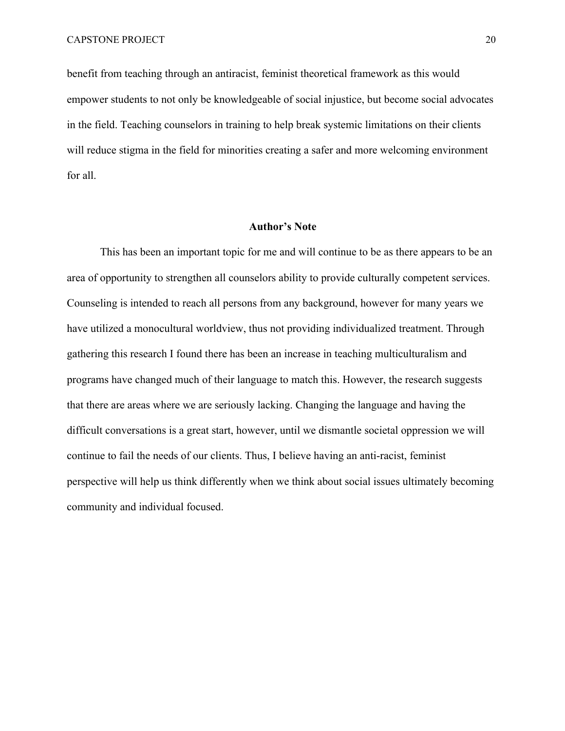benefit from teaching through an antiracist, feminist theoretical framework as this would empower students to not only be knowledgeable of social injustice, but become social advocates in the field. Teaching counselors in training to help break systemic limitations on their clients will reduce stigma in the field for minorities creating a safer and more welcoming environment for all.

#### **Author's Note**

This has been an important topic for me and will continue to be as there appears to be an area of opportunity to strengthen all counselors ability to provide culturally competent services. Counseling is intended to reach all persons from any background, however for many years we have utilized a monocultural worldview, thus not providing individualized treatment. Through gathering this research I found there has been an increase in teaching multiculturalism and programs have changed much of their language to match this. However, the research suggests that there are areas where we are seriously lacking. Changing the language and having the difficult conversations is a great start, however, until we dismantle societal oppression we will continue to fail the needs of our clients. Thus, I believe having an anti-racist, feminist perspective will help us think differently when we think about social issues ultimately becoming community and individual focused.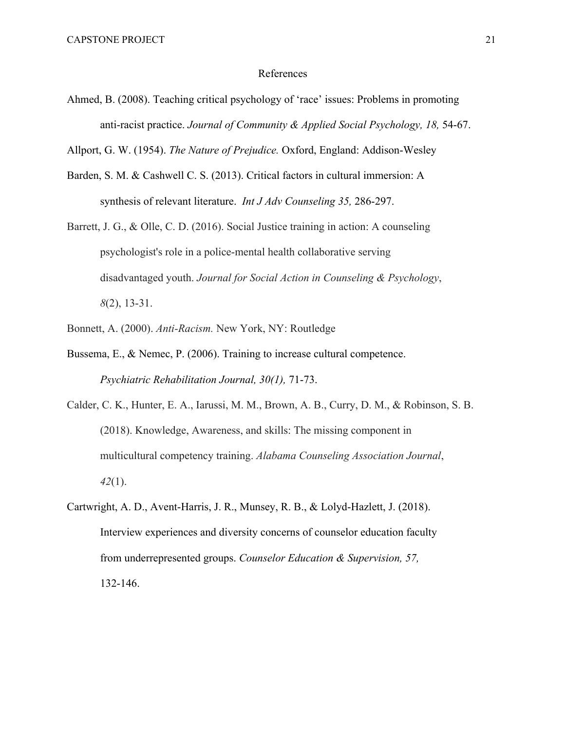#### References

Ahmed, B. (2008). Teaching critical psychology of 'race' issues: Problems in promoting anti-racist practice. *Journal of Community & Applied Social Psychology, 18, 54-67.* 

Allport, G. W. (1954). *The Nature of Prejudice.* Oxford, England: Addison-Wesley

- Barden, S. M. & Cashwell C. S. (2013). Critical factors in cultural immersion: A synthesis of relevant literature. *Int J Adv Counseling 35,* 286-297.
- Barrett, J. G., & Olle, C. D. (2016). Social Justice training in action: A counseling psychologist's role in a police-mental health collaborative serving disadvantaged youth. *Journal for Social Action in Counseling & Psychology*, *8*(2), 13-31.
- Bonnett, A. (2000). *Anti-Racism.* New York, NY: Routledge
- Bussema, E., & Nemec, P. (2006). Training to increase cultural competence. *Psychiatric Rehabilitation Journal, 30(1),* 71-73.
- Calder, C. K., Hunter, E. A., Iarussi, M. M., Brown, A. B., Curry, D. M., & Robinson, S. B. (2018). Knowledge, Awareness, and skills: The missing component in multicultural competency training. *Alabama Counseling Association Journal*, *42*(1).
- Cartwright, A. D., Avent-Harris, J. R., Munsey, R. B., & Lolyd-Hazlett, J. (2018). Interview experiences and diversity concerns of counselor education faculty from underrepresented groups. *Counselor Education & Supervision, 57,*  132-146.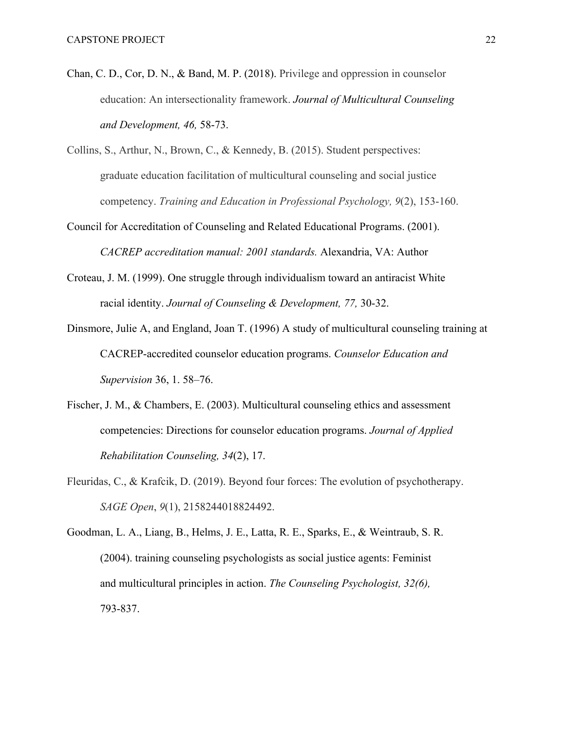- Chan, C. D., Cor, D. N., & Band, M. P. (2018). Privilege and oppression in counselor education: An intersectionality framework. *Journal of Multicultural Counseling and Development, 46,* 58-73.
- Collins, S., Arthur, N., Brown, C., & Kennedy, B. (2015). Student perspectives: graduate education facilitation of multicultural counseling and social justice competency. *Training and Education in Professional Psychology, 9*(2), 153-160.
- Council for Accreditation of Counseling and Related Educational Programs. (2001). *CACREP accreditation manual: 2001 standards.* Alexandria, VA: Author
- Croteau, J. M. (1999). One struggle through individualism toward an antiracist White racial identity. *Journal of Counseling & Development, 77,* 30-32.
- Dinsmore, Julie A, and England, Joan T. (1996) A study of multicultural counseling training at CACREP-accredited counselor education programs. *Counselor Education and Supervision* 36, 1. 58–76.
- Fischer, J. M., & Chambers, E. (2003). Multicultural counseling ethics and assessment competencies: Directions for counselor education programs. *Journal of Applied Rehabilitation Counseling, 34*(2), 17.
- Fleuridas, C., & Krafcik, D. (2019). Beyond four forces: The evolution of psychotherapy. *SAGE Open*, *9*(1), 2158244018824492.
- Goodman, L. A., Liang, B., Helms, J. E., Latta, R. E., Sparks, E., & Weintraub, S. R. (2004). training counseling psychologists as social justice agents: Feminist and multicultural principles in action. *The Counseling Psychologist, 32(6),*  793-837.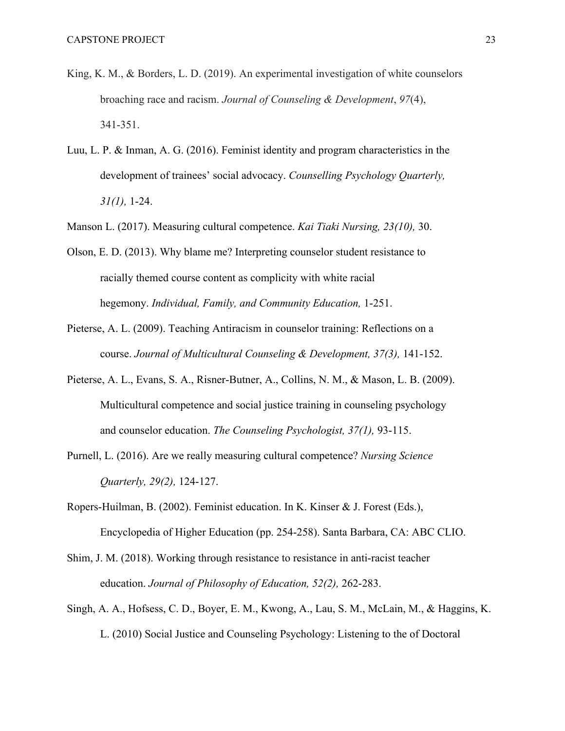- King, K. M., & Borders, L. D. (2019). An experimental investigation of white counselors broaching race and racism. *Journal of Counseling & Development*, *97*(4), 341-351.
- Luu, L. P. & Inman, A. G. (2016). Feminist identity and program characteristics in the development of trainees' social advocacy. *Counselling Psychology Quarterly, 31(1),* 1-24.
- Manson L. (2017). Measuring cultural competence. *Kai Tiaki Nursing, 23(10),* 30.

Olson, E. D. (2013). Why blame me? Interpreting counselor student resistance to racially themed course content as complicity with white racial hegemony. *Individual, Family, and Community Education,* 1-251.

- Pieterse, A. L. (2009). Teaching Antiracism in counselor training: Reflections on a course. *Journal of Multicultural Counseling & Development, 37(3),* 141-152.
- Pieterse, A. L., Evans, S. A., Risner-Butner, A., Collins, N. M., & Mason, L. B. (2009). Multicultural competence and social justice training in counseling psychology and counselor education. *The Counseling Psychologist, 37(1),* 93-115.
- Purnell, L. (2016). Are we really measuring cultural competence? *Nursing Science Quarterly, 29(2),* 124-127.
- Ropers-Huilman, B. (2002). Feminist education. In K. Kinser & J. Forest (Eds.), Encyclopedia of Higher Education (pp. 254-258). Santa Barbara, CA: ABC CLIO.
- Shim, J. M. (2018). Working through resistance to resistance in anti-racist teacher education. *Journal of Philosophy of Education, 52(2),* 262-283.
- Singh, A. A., Hofsess, C. D., Boyer, E. M., Kwong, A., Lau, S. M., McLain, M., & Haggins, K. L. (2010) Social Justice and Counseling Psychology: Listening to the of Doctoral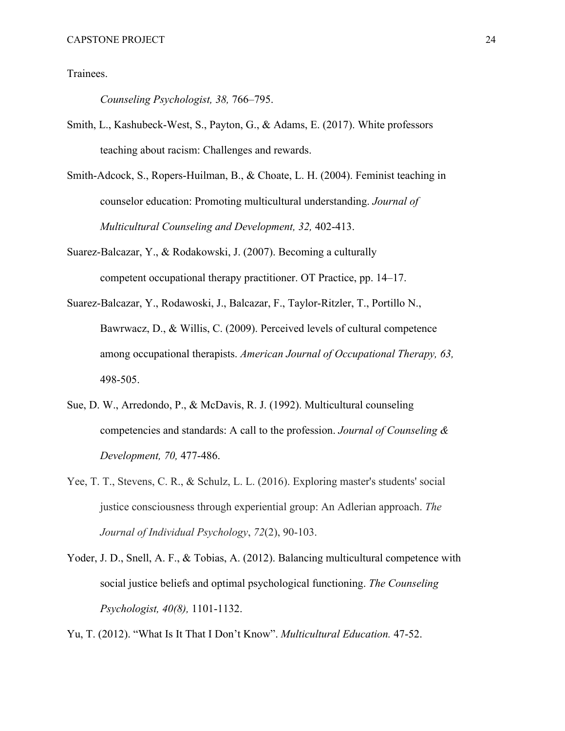Trainees.

*Counseling Psychologist, 38,* 766–795.

- Smith, L., Kashubeck-West, S., Payton, G., & Adams, E. (2017). White professors teaching about racism: Challenges and rewards.
- Smith-Adcock, S., Ropers-Huilman, B., & Choate, L. H. (2004). Feminist teaching in counselor education: Promoting multicultural understanding. *Journal of Multicultural Counseling and Development, 32,* 402-413.
- Suarez-Balcazar, Y., & Rodakowski, J. (2007). Becoming a culturally competent occupational therapy practitioner. OT Practice, pp. 14–17.
- Suarez-Balcazar, Y., Rodawoski, J., Balcazar, F., Taylor-Ritzler, T., Portillo N., Bawrwacz, D., & Willis, C. (2009). Perceived levels of cultural competence among occupational therapists. *American Journal of Occupational Therapy, 63,*  498-505.
- Sue, D. W., Arredondo, P., & McDavis, R. J. (1992). Multicultural counseling competencies and standards: A call to the profession. *Journal of Counseling & Development, 70,* 477-486.
- Yee, T. T., Stevens, C. R., & Schulz, L. L. (2016). Exploring master's students' social justice consciousness through experiential group: An Adlerian approach. *The Journal of Individual Psychology*, *72*(2), 90-103.
- Yoder, J. D., Snell, A. F., & Tobias, A. (2012). Balancing multicultural competence with social justice beliefs and optimal psychological functioning. *The Counseling Psychologist, 40(8),* 1101-1132.

Yu, T. (2012). "What Is It That I Don't Know". *Multicultural Education.* 47-52.